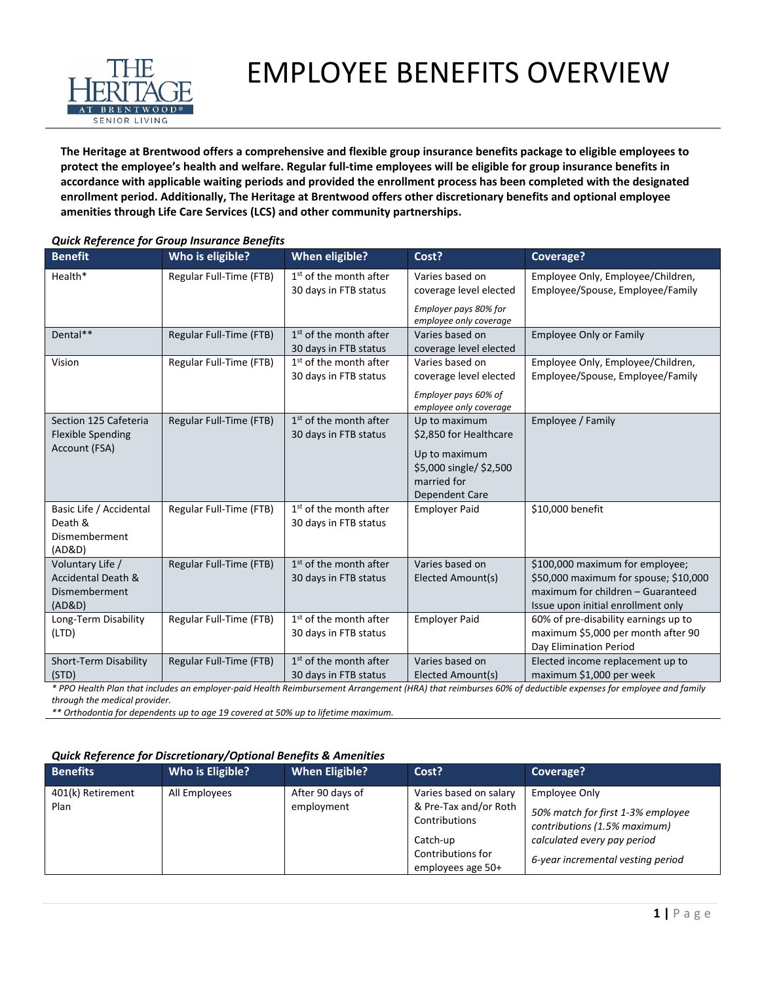

## EMPLOYEE BENEFITS OVERVIEW

**The Heritage at Brentwood offers a comprehensive and flexible group insurance benefits package to eligible employees to protect the employee's health and welfare. Regular full-time employees will be eligible for group insurance benefits in accordance with applicable waiting periods and provided the enrollment process has been completed with the designated enrollment period. Additionally, The Heritage at Brentwood offers other discretionary benefits and optional employee amenities through Life Care Services (LCS) and other community partnerships.**

| <b>Benefit</b>                                                     | Who is eligible?        | <b>When eligible?</b>                                       | Cost?                                                             | Coverage?                                                                                                        |
|--------------------------------------------------------------------|-------------------------|-------------------------------------------------------------|-------------------------------------------------------------------|------------------------------------------------------------------------------------------------------------------|
| Health*                                                            | Regular Full-Time (FTB) | 1 <sup>st</sup> of the month after<br>30 days in FTB status | Varies based on<br>coverage level elected                         | Employee Only, Employee/Children,<br>Employee/Spouse, Employee/Family                                            |
|                                                                    |                         |                                                             | Employer pays 80% for<br>employee only coverage                   |                                                                                                                  |
| Dental**                                                           | Regular Full-Time (FTB) | 1 <sup>st</sup> of the month after<br>30 days in FTB status | Varies based on<br>coverage level elected                         | <b>Employee Only or Family</b>                                                                                   |
| Vision                                                             | Regular Full-Time (FTB) | $1st$ of the month after<br>30 days in FTB status           | Varies based on<br>coverage level elected<br>Employer pays 60% of | Employee Only, Employee/Children,<br>Employee/Spouse, Employee/Family                                            |
|                                                                    |                         |                                                             | employee only coverage                                            |                                                                                                                  |
| Section 125 Cafeteria<br><b>Flexible Spending</b><br>Account (FSA) | Regular Full-Time (FTB) | $1st$ of the month after<br>30 days in FTB status           | Up to maximum<br>\$2,850 for Healthcare                           | Employee / Family                                                                                                |
|                                                                    |                         |                                                             | Up to maximum<br>\$5,000 single/ \$2,500<br>married for           |                                                                                                                  |
| Basic Life / Accidental                                            | Regular Full-Time (FTB) | 1 <sup>st</sup> of the month after                          | Dependent Care<br><b>Employer Paid</b>                            | \$10,000 benefit                                                                                                 |
| Death &                                                            |                         | 30 days in FTB status                                       |                                                                   |                                                                                                                  |
| Dismemberment<br>(AD&D)                                            |                         |                                                             |                                                                   |                                                                                                                  |
| Voluntary Life /                                                   | Regular Full-Time (FTB) | 1 <sup>st</sup> of the month after                          | Varies based on                                                   | \$100,000 maximum for employee;                                                                                  |
| <b>Accidental Death &amp;</b><br>Dismemberment<br>(AD&D)           |                         | 30 days in FTB status                                       | Elected Amount(s)                                                 | \$50,000 maximum for spouse; \$10,000<br>maximum for children - Guaranteed<br>Issue upon initial enrollment only |
| Long-Term Disability                                               | Regular Full-Time (FTB) | 1 <sup>st</sup> of the month after                          | <b>Employer Paid</b>                                              | 60% of pre-disability earnings up to                                                                             |
| (LTD)                                                              |                         | 30 days in FTB status                                       |                                                                   | maximum \$5,000 per month after 90<br>Day Elimination Period                                                     |
| Short-Term Disability                                              | Regular Full-Time (FTB) | $1st$ of the month after                                    | Varies based on                                                   | Elected income replacement up to                                                                                 |
| (STD)                                                              |                         | 30 days in FTB status                                       | Elected Amount(s)                                                 | maximum \$1,000 per week                                                                                         |

## *Quick Reference for Group Insurance Benefits*

*\* PPO Health Plan that includes an employer-paid Health Reimbursement Arrangement (HRA) that reimburses 60% of deductible expenses for employee and family through the medical provider.*

*\*\* Orthodontia for dependents up to age 19 covered at 50% up to lifetime maximum.*

## *Quick Reference for Discretionary/Optional Benefits & Amenities*

| <b>Benefits</b>           | Who is Eligible? | <b>When Eligible?</b>          | Cost?                                                                                                                  | Coverage?                                                                                                                                              |
|---------------------------|------------------|--------------------------------|------------------------------------------------------------------------------------------------------------------------|--------------------------------------------------------------------------------------------------------------------------------------------------------|
| 401(k) Retirement<br>Plan | All Employees    | After 90 days of<br>employment | Varies based on salary<br>& Pre-Tax and/or Roth<br>Contributions<br>Catch-up<br>Contributions for<br>employees age 50+ | Employee Only<br>50% match for first 1-3% employee<br>contributions (1.5% maximum)<br>calculated every pay period<br>6-year incremental vesting period |